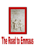

# The Road to Emmays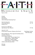

# Mennonite Church May 01, 2022 10:30 AM

Prelude Welcome! Peace Prayer Call to Worship & Opening Prayer

*Beyond a Dying Sun* VT 416 *Come, Walk with Us*  $VT$  23 Isaiah 25: 6-9

Prayer for our Offerings *Open My Eyes That I May See* VT 738

| Luke 24: 13-49                                         |                                              |
|--------------------------------------------------------|----------------------------------------------|
| On the Road to Emmaus: Glimpses of the Church          | Heidi Regier Kreider<br><b>WDC Recording</b> |
| Musical Reflection: Please sign the friendship sheets. |                                              |
| <b>Transition Moment</b>                               |                                              |
| Honoring our Graduates                                 |                                              |
| Caleb Garber-Newton High School                        |                                              |
| Nathan Garber-Bethel College                           |                                              |
| Linda Moyo-Bethel College                              |                                              |
| Kristin Jantzen-Goshen College                         |                                              |
| Children of the Heavenly Father                        | VT 517                                       |
|                                                        |                                              |

Blessing Postlude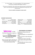#### VT = Voices Together STJ = Green Song Book STS = Purple Song Book CCLI License #: 2009481 ONE LICENSE #739073-A

\**This service is streamed live. There will be a pause while the stream is switched from the public to the unlisted (private) stream for our congregational sharing, prayer, and announcements.* 

**If you are unable to stand please remain seated.**

#### **WORSHIP PARTICIPANTS**

| Worship LeaderDeb Schmidt |
|---------------------------|
| Song Leader Tom Gaeddert  |
| Accompanists Tammy Plank  |

| Sanctuary Prep Jane Schmidt           |  |
|---------------------------------------|--|
|                                       |  |
|                                       |  |
|                                       |  |
| Ushers Mike Doerksen & Howard Allison |  |
| Greeters  Harlan & Grace Bartel       |  |

# **Welcome** to Faith

Mennonite Church. We are glad you are here. If you need a **listening assistance device or a large print bulletin**, please ask an usher.

There are a few \*quiet\* craft items on the back table of the sanctuary that can be used during worship.

#### **OUR MISSION STATEMENT**

As followers of Jesus Christ, our mission is to

- Worship together as a community of faith,

**-** Invite everyone to share the gift of God's love,

- Nurture each other in the faith,

- Serve others in the spirit of Christ, and

**-** Proclaim His way of peace, justice and reconciliation.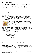## *FAITH FAMILY NEWS*

**THE REJOICE DEVOTIONAL BOOK** renewal is happening now. IF you would like to renew your subscription or start a new one, the sign up sheet is on a clipboard on the credenza. The cost of the subscription is \$33.11 for the year and you will receive it quarterly. Please make check out to Faith Mennonite Church and write Rejoice! In the memo.

**ADDRESS FOR MARK & HENNIE JANZEN** while in Houston is 7010 Straffordshire Apt. 508 Houston, TX 77030

**ALL LADIES AND MEN ARE INVITED** to our Faith Mission Circle Brunch on Saturday, May 7, at 9:00 a.m. in fellowship hall. Come for breakfast and to hear Roy Unruh and Frankie Huxman share some of their experiences in Hopi land. Please bring a breakfast dish, your table service, grocery items for Harvest of Love for our project and an offering for Mennonite Women USA. See you then. Kathryn Penner



**THE THIRD SUNDAY POTLUCKS** will be starting up again the third Sunday of May! May 15 is the date! Bring your favorite dish, your table service, and your appetite! As per usual, this will be right after the church service.

**LET YOUR VOICE BE HEARD!** Join the **identity conversations**! We are changing the method. Watch for announcements for when Pastor Kristine will be hosting the conversations during the Sunday School hour. We seek to have fresh evidence of our:

- Commitment to Anabaptist Faith
- Theological convictions
- View of the pastor's role
- Congregational morale

The summaries of our conversations and any written responses (an option if you can't attend a group), will give the next search committee fresh material to answer the essay questions on the Congregational Information Form which describes us to potential settled pastor candidates. The work also reminds us that we are here for God's purposes, not our own. We do continue to seek strong participation, although our goal (45 people per question) is not as high as it was for our inclusive welcome work (we reached 80).

**SPRING WORKDAY!** The Board of Administration is hosting a spring cleanup/ workday, May 14, 2022 at 8:30 AM. Please see the signup sheet on the credenza or check out the link in your email for SignUpGenius.

**DO YOU EVER WONDER**…. What all the church events are? Where is the monthly calendar that was delivered to my box? It is now on the back side of your bulletin each Sunday.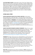**VACATION BIBLE SCHOOL** will be May 31-June 3 from 5:30-7:30pm at First Mennonite Church (429 E 1st St) & June 5 Worship at 10:00am (Athletic Park). VBS is for those in Preschool through 5th grade (with Sunday worship for ALL AGES!) Each weeknight we will start with supper for all participants (children and volunteers). VBS is a joint venture of Bethel College Mennonite Church, Faith Mennonite Church, First Mennonite Church, Iglesia Menonita Casa Betania, New Creation Fellowship Church, and Shalom Mennonite Church. Registration will become available in the next week or so. Sharri Scheffler is representing our church.

### *OTHER AREA ITEMS*

**KANSAS MENNONITE RELIEF SALE ANNUAL MEETING** will be held at Hesston Mennonite on Thursday, May 19. The meal will be at 6:00 with the meeting starting after the meal. The cost is \$15.00 per plate. The meal is being catered and RSVPs are REQUIRED. If you submit a Reservation, payment will be expected whether you attend or not. The deadline for RSVPs is Monday, May 16, 6:00 pm. NO late RSVPs will be accepted. Please RSVP for the meal to Barb Reeves either by email ([bj.reeves@live.com\)](mailto:bj.reeves@live.com), phone or text (620-543-6863) by May 16, 6:00 pm. If you are only attending the meeting, RSVP is not needed. Hope to see you there to celebrate our successful Sale! Barb BJ Reeves, KMRS Secretary

**VOICES TOGETHER WORSHIP LEADERS' WORKSHOP |** May 14, 9 a.m.-noon EDT (on Zoom) | sponsored by Benton Mennonite Church, Goshen IN – Anneli Loepp Thiessen and Katie Graber will provide background on worship resources in Voices Together, and the Voices Together Worship Leaders' ed., highlighting uses in worship as well as the styles, cultures, and eras they represent. . No cost required. For more information, and to register, go to www.bentonchurch.org/voices-together-worship-workshop

**EVERENCE®** this May and June Everence will hold Medicare and Social Security workshops at its office in North Newton. The Medicare workshop (Tuesday, May 10 at 6:30 p.m.) will include, when and where to sign up for Medicare, what Medicare covers, plus an explanation of Medicare Parts A, B, C, and D. The retirement income workshop (Tuesday, June 7 at 6:30 p.m.) will cover, Social Security strategies including when to begin taking benefits, strategies to help your income last throughout retirement, and risks that can impact your retirement savings. The in-person workshops will be held at the Everence office: 3179 N. Main St. Suite 1B, North Newton. Those interested in attending should contact the Everence office at 316-283-3800, 877-467-7294 or entral.kansas@everence.com.

**PRAY FOR** congregational and conference delegates in **WDC** preparing to join others for discernment at the Mennonite Church USA special assembly May 27- 30 in Kansas City.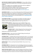**JOIN THE WDC CHURCH PLANTING COMMISSION** at 11am on May 11th for a zoom conversation that considers how we can share our faith stories with our neighbors.

- 1) How can we begin to have meaningful conversations with our neighbors?
- 2) How do we talk about our experiences with Jesus?
- 3) What unique perspectives might our faith community have to share?

4) After sharing the story, how can we invite others into the story?

Join the conversation with Zoom on May 11th at mennowdc.org/events

**ON MONDAY, MAY 2** at 7 p.m. ET, join Mennonite Church USA Executive Director Glen Guyton and guests for a webinar on ways that we can support the Special Session of the Delegate Assembly and our participating church leaders through individual and communal prayer and fasting. Register here: [mennoniteusa.org/](https://www.mennoniteusa.org/prayer-webinar-registration) prayer-webinar-[registration](https://www.mennoniteusa.org/prayer-webinar-registration)

**LAST WEEK TO VIEW** the annual Student Art Exhibit in the Regier Gallery in Luyken Fine Arts Center at Bethel College**,** featuring the work of 52 Bethel students. Closes Fri., May 6; gallery hours are 9 a.m.-4 p.m., Mon.-Fri.

**TODAY (SUNDAY, MAY 1) –** Masterworks concert at Bethel College, 3 p.m.,



featuring the Bethel College Oratorio Chorus, orchestra and soloists performing *Requiem* by Mozart, and *Gloria* and *For the Beauty of the Earth* by John Rutter, directed by Dr. William Eash; Memorial Hall

**TUESDAY, MAY 3 –** Bethel College Steel Drum Band and Steel Paradise concert, directed by Brad Shores, 7 p.m., Krehbiel

Auditorium in Luyken Fine Arts Center

**WEDNESDAY MAY 4 –** Jazz on the Green at Bethel College, directed by Joel Boettger, 8 p.m. *(*Memorial Hall in case of rain*)*

**SATURDAY MAY 7 –** Kauffman Museum first-Saturday bird walk, 7 a.m. start time in the museum parking lot at the corner of Main and 27th streets in North Newton. Experienced birders lead a walk of 1-1.5 hours in Chisholm Park and on Sand Creek Trail (terrain is mostly wood-chip path and sometimes uneven/sloping).

**SUNDAY MAY 8 –** Woven and Open Road joint Mother's Day concert, 7 p.m., Memorial Hall

**SATURDAY MAY 14 –** Spring choral concert, including pre-Europe tour program by the Bethel College Concert Choir, 4 p.m., Memorial Hall. Please note that this is a change in date and time from some previously printed sources.

**SOON YOU WILL NOTICE** changes at the MCC building in North Newton, Kansas. Construction will address necessary repairs and updates to make the space more welcoming and safer for everyone as we strive to be good stewards of the MCC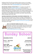building and land. We ask for your patience and your prayers as we navigate continuing to do the work of MCC even during this construction process. If you have questions please email [centralstates@mcc.org](mailto:centralstates@mcc.org) or call 316.283.2720.

**JOIN THE MCC CENTRAL STATES TEAM!** We currently have the following openings. Please contact<krystalklaassen@mcc.org> with any questions. Young Adult Program Coordinator – Plan, facilitate and recruit for young adult programming in the MCC Central States region. This includes the International Volunteer Exchange Program (IVEP), Summer Service Worker (SSW) program, the Serving and Learning Together (SALT) program, Seed, and other expanding opportunities for young adults to join with the work of MCC**.** [Check out all the](https://mcc.org/get-involved/serve/openings/young-adult-coordinator-central-states)  [details and apply today at MCC..ORG!](https://mcc.org/get-involved/serve/openings/young-adult-coordinator-central-states)

#### **MATERIAL RESOURCES CENTER (MRC) VOLUNTEER COORDINATOR—** The

MRC in North Newton, Kansas hosts volunteers of all ages working together to support the mission of MCC. Primarily, the part time Volunteer Coordinator will welcome, host, educate, assist and supervise the daily volunteers as well as receive donations in the MRC. Please visit mcc.org/get-[involved/serve/openings](https://mcc.org/get-involved/serve/openings/material-resource-center-volunteer-coordinator-central-states) for more information and to apply.

**MAY 21 IS THE NEXT WORK & PLAY DAY** at Camp Mennoscah! Projects will start at 8:30am at the maintenance shed. Both indoor and outdoor work available. Bring your water bottle and lunch. Grab a group of friends and make a day of it! Contact Camp Mennoscah at 620-297-3290 or [olivia.bartel@campmennoscah.org](mailto:olivia.bartel@campmennoscah.org) to register.

### **CHILDREN/YOUTH**

**Pre-K — 4th Grade:**  LL Room 103

**Junior High (5th—8th Grade)** LL Room 105

**High School**  LL FYG Hall



**ADULTS**

**Cornerstone:**  Fellowship Hall

> **Open Class:** LL Open Area

**Meet in the Sanctuary at 9:00 AM on Sunday's, then to classrooms at 9:15-10:10 AM**